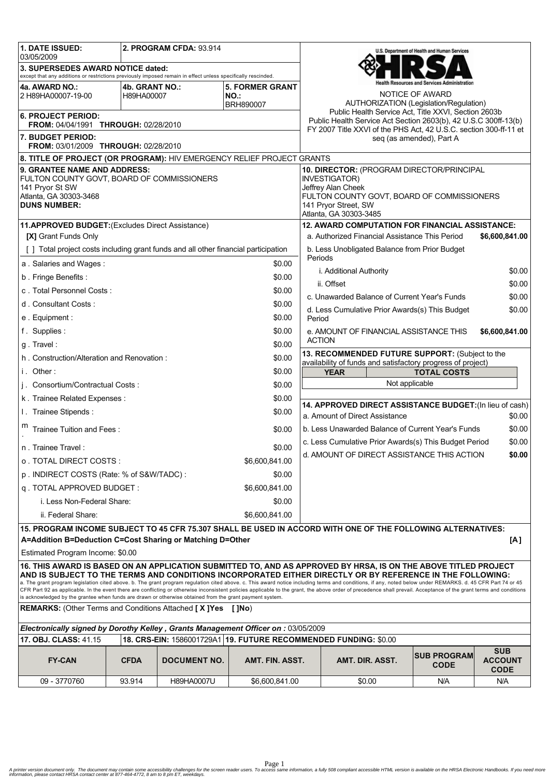| 1. DATE ISSUED:<br>03/05/2009                                                                                                                                                 |                              | 2. PROGRAM CFDA: 93.914 |                                                                                                      |                                                                                                                                                                                                                          | U.S. Department of Health and Human Services                                                                                                                                                                                                                                                                                                                                                                                                                                                                                                   |                                                                |                                             |  |
|-------------------------------------------------------------------------------------------------------------------------------------------------------------------------------|------------------------------|-------------------------|------------------------------------------------------------------------------------------------------|--------------------------------------------------------------------------------------------------------------------------------------------------------------------------------------------------------------------------|------------------------------------------------------------------------------------------------------------------------------------------------------------------------------------------------------------------------------------------------------------------------------------------------------------------------------------------------------------------------------------------------------------------------------------------------------------------------------------------------------------------------------------------------|----------------------------------------------------------------|---------------------------------------------|--|
| 3. SUPERSEDES AWARD NOTICE dated:<br>except that any additions or restrictions previously imposed remain in effect unless specifically rescinded.                             |                              |                         |                                                                                                      |                                                                                                                                                                                                                          |                                                                                                                                                                                                                                                                                                                                                                                                                                                                                                                                                |                                                                |                                             |  |
| 4a. AWARD NO.:<br>2 H89HA00007-19-00                                                                                                                                          | 4b. GRANT NO.:<br>H89HA00007 |                         | <b>5. FORMER GRANT</b><br>NO.:<br>BRH890007                                                          |                                                                                                                                                                                                                          | AUTHORIZATION (Legislation/Regulation)                                                                                                                                                                                                                                                                                                                                                                                                                                                                                                         | ealth Resources and Services Administration<br>NOTICE OF AWARD |                                             |  |
| <b>6. PROJECT PERIOD:</b><br><b>FROM: 04/04/1991 THROUGH: 02/28/2010</b>                                                                                                      |                              |                         |                                                                                                      | Public Health Service Act, Title XXVI, Section 2603b<br>Public Health Service Act Section 2603(b), 42 U.S.C 300ff-13(b)<br>FY 2007 Title XXVI of the PHS Act, 42 U.S.C. section 300-ff-11 et<br>seq (as amended), Part A |                                                                                                                                                                                                                                                                                                                                                                                                                                                                                                                                                |                                                                |                                             |  |
| 7. BUDGET PERIOD:<br><b>FROM: 03/01/2009 THROUGH: 02/28/2010</b>                                                                                                              |                              |                         |                                                                                                      |                                                                                                                                                                                                                          |                                                                                                                                                                                                                                                                                                                                                                                                                                                                                                                                                |                                                                |                                             |  |
| 8. TITLE OF PROJECT (OR PROGRAM): HIV EMERGENCY RELIEF PROJECT GRANTS                                                                                                         |                              |                         |                                                                                                      |                                                                                                                                                                                                                          |                                                                                                                                                                                                                                                                                                                                                                                                                                                                                                                                                |                                                                |                                             |  |
| 9. GRANTEE NAME AND ADDRESS:<br>FULTON COUNTY GOVT, BOARD OF COMMISSIONERS<br>141 Pryor St SW                                                                                 |                              |                         |                                                                                                      |                                                                                                                                                                                                                          | 10. DIRECTOR: (PROGRAM DIRECTOR/PRINCIPAL<br>INVESTIGATOR)<br>Jeffrey Alan Cheek                                                                                                                                                                                                                                                                                                                                                                                                                                                               |                                                                |                                             |  |
| Atlanta, GA 30303-3468<br><b>DUNS NUMBER:</b>                                                                                                                                 |                              |                         |                                                                                                      |                                                                                                                                                                                                                          | FULTON COUNTY GOVT, BOARD OF COMMISSIONERS<br>141 Pryor Street, SW<br>Atlanta, GA 30303-3485                                                                                                                                                                                                                                                                                                                                                                                                                                                   |                                                                |                                             |  |
| 11.APPROVED BUDGET: (Excludes Direct Assistance)                                                                                                                              |                              |                         |                                                                                                      |                                                                                                                                                                                                                          | <b>12. AWARD COMPUTATION FOR FINANCIAL ASSISTANCE:</b>                                                                                                                                                                                                                                                                                                                                                                                                                                                                                         |                                                                |                                             |  |
| [X] Grant Funds Only                                                                                                                                                          |                              |                         |                                                                                                      |                                                                                                                                                                                                                          | a. Authorized Financial Assistance This Period<br>\$6,600,841.00                                                                                                                                                                                                                                                                                                                                                                                                                                                                               |                                                                |                                             |  |
| [] Total project costs including grant funds and all other financial participation                                                                                            |                              |                         |                                                                                                      |                                                                                                                                                                                                                          | b. Less Unobligated Balance from Prior Budget                                                                                                                                                                                                                                                                                                                                                                                                                                                                                                  |                                                                |                                             |  |
| a. Salaries and Wages:                                                                                                                                                        |                              |                         | \$0.00                                                                                               | Periods                                                                                                                                                                                                                  |                                                                                                                                                                                                                                                                                                                                                                                                                                                                                                                                                |                                                                |                                             |  |
| \$0.00<br>b. Fringe Benefits:                                                                                                                                                 |                              |                         |                                                                                                      |                                                                                                                                                                                                                          | i. Additional Authority                                                                                                                                                                                                                                                                                                                                                                                                                                                                                                                        |                                                                | \$0.00                                      |  |
| c. Total Personnel Costs:<br>\$0.00                                                                                                                                           |                              |                         |                                                                                                      |                                                                                                                                                                                                                          | ii. Offset<br>c. Unawarded Balance of Current Year's Funds                                                                                                                                                                                                                                                                                                                                                                                                                                                                                     |                                                                | \$0.00                                      |  |
| d. Consultant Costs:<br>\$0.00                                                                                                                                                |                              |                         |                                                                                                      |                                                                                                                                                                                                                          |                                                                                                                                                                                                                                                                                                                                                                                                                                                                                                                                                |                                                                | \$0.00                                      |  |
| e. Equipment:<br>\$0.00                                                                                                                                                       |                              |                         | Period                                                                                               | d. Less Cumulative Prior Awards(s) This Budget                                                                                                                                                                           |                                                                                                                                                                                                                                                                                                                                                                                                                                                                                                                                                | \$0.00                                                         |                                             |  |
| f. Supplies:<br>\$0.00                                                                                                                                                        |                              |                         |                                                                                                      | e. AMOUNT OF FINANCIAL ASSISTANCE THIS<br>\$6,600,841.00                                                                                                                                                                 |                                                                                                                                                                                                                                                                                                                                                                                                                                                                                                                                                |                                                                |                                             |  |
| \$0.00<br>g. Travel:                                                                                                                                                          |                              |                         |                                                                                                      | <b>ACTION</b>                                                                                                                                                                                                            |                                                                                                                                                                                                                                                                                                                                                                                                                                                                                                                                                |                                                                |                                             |  |
| \$0.00<br>h. Construction/Alteration and Renovation:                                                                                                                          |                              |                         |                                                                                                      | 13. RECOMMENDED FUTURE SUPPORT: (Subject to the<br>availability of funds and satisfactory progress of project)                                                                                                           |                                                                                                                                                                                                                                                                                                                                                                                                                                                                                                                                                |                                                                |                                             |  |
| i. Other:                                                                                                                                                                     |                              |                         | \$0.00                                                                                               | <b>YEAR</b><br><b>TOTAL COSTS</b>                                                                                                                                                                                        |                                                                                                                                                                                                                                                                                                                                                                                                                                                                                                                                                |                                                                |                                             |  |
| j. Consortium/Contractual Costs:                                                                                                                                              |                              |                         | \$0.00                                                                                               | Not applicable                                                                                                                                                                                                           |                                                                                                                                                                                                                                                                                                                                                                                                                                                                                                                                                |                                                                |                                             |  |
| k. Trainee Related Expenses:                                                                                                                                                  |                              |                         | \$0.00                                                                                               |                                                                                                                                                                                                                          |                                                                                                                                                                                                                                                                                                                                                                                                                                                                                                                                                |                                                                |                                             |  |
| I. Trainee Stipends:<br>\$0.00                                                                                                                                                |                              |                         | 14. APPROVED DIRECT ASSISTANCE BUDGET: (In lieu of cash)<br>a. Amount of Direct Assistance<br>\$0.00 |                                                                                                                                                                                                                          |                                                                                                                                                                                                                                                                                                                                                                                                                                                                                                                                                |                                                                |                                             |  |
| m<br>Trainee Tuition and Fees:                                                                                                                                                |                              |                         | \$0.00                                                                                               | b. Less Unawarded Balance of Current Year's Funds<br>\$0.00                                                                                                                                                              |                                                                                                                                                                                                                                                                                                                                                                                                                                                                                                                                                |                                                                |                                             |  |
|                                                                                                                                                                               |                              |                         |                                                                                                      | \$0.00<br>c. Less Cumulative Prior Awards(s) This Budget Period                                                                                                                                                          |                                                                                                                                                                                                                                                                                                                                                                                                                                                                                                                                                |                                                                |                                             |  |
| \$0.00<br>n. Trainee Travel:                                                                                                                                                  |                              |                         |                                                                                                      | d. AMOUNT OF DIRECT ASSISTANCE THIS ACTION<br>\$0.00                                                                                                                                                                     |                                                                                                                                                                                                                                                                                                                                                                                                                                                                                                                                                |                                                                |                                             |  |
| o. TOTAL DIRECT COSTS:<br>\$6,600,841.00                                                                                                                                      |                              |                         |                                                                                                      |                                                                                                                                                                                                                          |                                                                                                                                                                                                                                                                                                                                                                                                                                                                                                                                                |                                                                |                                             |  |
| p. INDIRECT COSTS (Rate: % of S&W/TADC):<br>\$0.00                                                                                                                            |                              |                         |                                                                                                      |                                                                                                                                                                                                                          |                                                                                                                                                                                                                                                                                                                                                                                                                                                                                                                                                |                                                                |                                             |  |
| q. TOTAL APPROVED BUDGET:<br>\$6,600,841.00<br>i. Less Non-Federal Share:                                                                                                     |                              |                         |                                                                                                      |                                                                                                                                                                                                                          |                                                                                                                                                                                                                                                                                                                                                                                                                                                                                                                                                |                                                                |                                             |  |
| \$0.00                                                                                                                                                                        |                              |                         |                                                                                                      |                                                                                                                                                                                                                          |                                                                                                                                                                                                                                                                                                                                                                                                                                                                                                                                                |                                                                |                                             |  |
| ii. Federal Share:<br>\$6,600,841,00<br>15. PROGRAM INCOME SUBJECT TO 45 CFR 75.307 SHALL BE USED IN ACCORD WITH ONE OF THE FOLLOWING ALTERNATIVES:                           |                              |                         |                                                                                                      |                                                                                                                                                                                                                          |                                                                                                                                                                                                                                                                                                                                                                                                                                                                                                                                                |                                                                |                                             |  |
| A=Addition B=Deduction C=Cost Sharing or Matching D=Other                                                                                                                     |                              |                         |                                                                                                      |                                                                                                                                                                                                                          |                                                                                                                                                                                                                                                                                                                                                                                                                                                                                                                                                |                                                                | [A]                                         |  |
| Estimated Program Income: \$0.00                                                                                                                                              |                              |                         |                                                                                                      |                                                                                                                                                                                                                          |                                                                                                                                                                                                                                                                                                                                                                                                                                                                                                                                                |                                                                |                                             |  |
|                                                                                                                                                                               |                              |                         |                                                                                                      |                                                                                                                                                                                                                          | 16. THIS AWARD IS BASED ON AN APPLICATION SUBMITTED TO, AND AS APPROVED BY HRSA, IS ON THE ABOVE TITLED PROJECT                                                                                                                                                                                                                                                                                                                                                                                                                                |                                                                |                                             |  |
|                                                                                                                                                                               |                              |                         |                                                                                                      |                                                                                                                                                                                                                          | AND IS SUBJECT TO THE TERMS AND CONDITIONS INCORPORATED EITHER DIRECTLY OR BY REFERENCE IN THE FOLLOWING:<br>a. The grant program legislation cited above. b. The grant program regulation cited above. c. This award notice including terms and conditions, if any, noted below under REMARKS. d. 45 CFR Part 74 or 45<br>CFR Part 92 as applicable. In the event there are conflicting or otherwise inconsistent policies applicable to the grant, the above order of precedence shall prevail. Acceptance of the grant terms and conditions |                                                                |                                             |  |
| is acknowledged by the grantee when funds are drawn or otherwise obtained from the grant payment system.<br><b>REMARKS:</b> (Other Terms and Conditions Attached [X]Yes [JNo) |                              |                         |                                                                                                      |                                                                                                                                                                                                                          |                                                                                                                                                                                                                                                                                                                                                                                                                                                                                                                                                |                                                                |                                             |  |
| Electronically signed by Dorothy Kelley, Grants Management Officer on: 03/05/2009                                                                                             |                              |                         |                                                                                                      |                                                                                                                                                                                                                          |                                                                                                                                                                                                                                                                                                                                                                                                                                                                                                                                                |                                                                |                                             |  |
| 18. CRS-EIN: 1586001729A1 19. FUTURE RECOMMENDED FUNDING: \$0.00<br>17. OBJ. CLASS: 41.15                                                                                     |                              |                         |                                                                                                      |                                                                                                                                                                                                                          |                                                                                                                                                                                                                                                                                                                                                                                                                                                                                                                                                |                                                                |                                             |  |
| <b>FY-CAN</b>                                                                                                                                                                 | <b>CFDA</b>                  | <b>DOCUMENT NO.</b>     | AMT. FIN. ASST.                                                                                      |                                                                                                                                                                                                                          | AMT. DIR. ASST.                                                                                                                                                                                                                                                                                                                                                                                                                                                                                                                                | <b>SUB PROGRAM</b><br><b>CODE</b>                              | <b>SUB</b><br><b>ACCOUNT</b><br><b>CODE</b> |  |
| 09 - 3770760                                                                                                                                                                  | 93.914                       | H89HA0007U              | \$6,600,841.00                                                                                       |                                                                                                                                                                                                                          | \$0.00                                                                                                                                                                                                                                                                                                                                                                                                                                                                                                                                         | N/A                                                            | N/A                                         |  |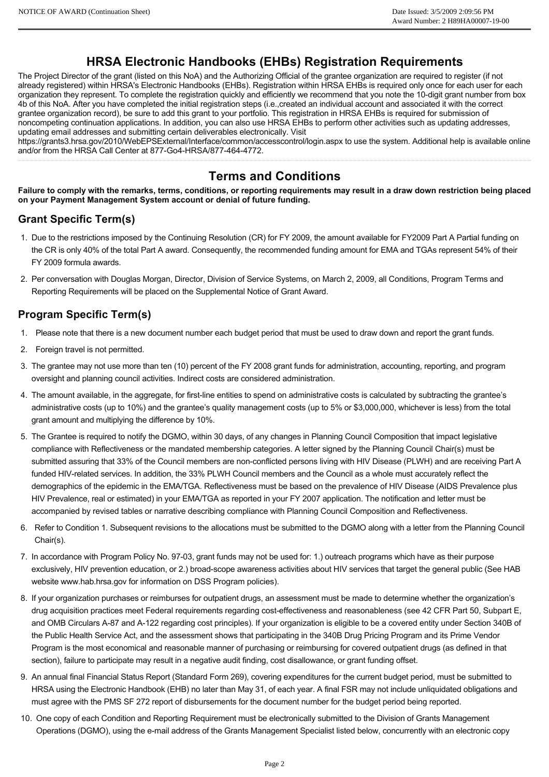# **HRSA Electronic Handbooks (EHBs) Registration Requirements**

The Project Director of the grant (listed on this NoA) and the Authorizing Official of the grantee organization are required to register (if not already registered) within HRSA's Electronic Handbooks (EHBs). Registration within HRSA EHBs is required only once for each user for each organization they represent. To complete the registration quickly and efficiently we recommend that you note the 10-digit grant number from box 4b of this NoA. After you have completed the initial registration steps (i.e.,created an individual account and associated it with the correct grantee organization record), be sure to add this grant to your portfolio. This registration in HRSA EHBs is required for submission of noncompeting continuation applications. In addition, you can also use HRSA EHBs to perform other activities such as updating addresses, updating email addresses and submitting certain deliverables electronically. Visit

https://grants3.hrsa.gov/2010/WebEPSExternal/Interface/common/accesscontrol/login.aspx to use the system. Additional help is available online and/or from the HRSA Call Center at 877-Go4-HRSA/877-464-4772.

# **Terms and Conditions**

**Failure to comply with the remarks, terms, conditions, or reporting requirements may result in a draw down restriction being placed on your Payment Management System account or denial of future funding.**

### **Grant Specific Term(s)**

- 1. Due to the restrictions imposed by the Continuing Resolution (CR) for FY 2009, the amount available for FY2009 Part A Partial funding on the CR is only 40% of the total Part A award. Consequently, the recommended funding amount for EMA and TGAs represent 54% of their FY 2009 formula awards.
- 2. Per conversation with Douglas Morgan, Director, Division of Service Systems, on March 2, 2009, all Conditions, Program Terms and Reporting Requirements will be placed on the Supplemental Notice of Grant Award.

## **Program Specific Term(s)**

- 1. Please note that there is a new document number each budget period that must be used to draw down and report the grant funds.
- 2. Foreign travel is not permitted.
- 3. The grantee may not use more than ten (10) percent of the FY 2008 grant funds for administration, accounting, reporting, and program oversight and planning council activities. Indirect costs are considered administration.
- 4. The amount available, in the aggregate, for first-line entities to spend on administrative costs is calculated by subtracting the grantee's administrative costs (up to 10%) and the grantee's quality management costs (up to 5% or \$3,000,000, whichever is less) from the total grant amount and multiplying the difference by 10%.
- 5. The Grantee is required to notify the DGMO, within 30 days, of any changes in Planning Council Composition that impact legislative compliance with Reflectiveness or the mandated membership categories. A letter signed by the Planning Council Chair(s) must be submitted assuring that 33% of the Council members are non-conflicted persons living with HIV Disease (PLWH) and are receiving Part A funded HIV-related services. In addition, the 33% PLWH Council members and the Council as a whole must accurately reflect the demographics of the epidemic in the EMA/TGA. Reflectiveness must be based on the prevalence of HIV Disease (AIDS Prevalence plus HIV Prevalence, real or estimated) in your EMA/TGA as reported in your FY 2007 application. The notification and letter must be accompanied by revised tables or narrative describing compliance with Planning Council Composition and Reflectiveness.
- 6. Refer to Condition 1. Subsequent revisions to the allocations must be submitted to the DGMO along with a letter from the Planning Council Chair(s).
- 7. In accordance with Program Policy No. 9703, grant funds may not be used for: 1.) outreach programs which have as their purpose exclusively, HIV prevention education, or 2.) broad-scope awareness activities about HIV services that target the general public (See HAB website www.hab.hrsa.gov for information on DSS Program policies).
- 8. If your organization purchases or reimburses for outpatient drugs, an assessment must be made to determine whether the organization's drug acquisition practices meet Federal requirements regarding cost-effectiveness and reasonableness (see 42 CFR Part 50, Subpart E, and OMB Circulars A-87 and A-122 regarding cost principles). If your organization is eligible to be a covered entity under Section 340B of the Public Health Service Act, and the assessment shows that participating in the 340B Drug Pricing Program and its Prime Vendor Program is the most economical and reasonable manner of purchasing or reimbursing for covered outpatient drugs (as defined in that section), failure to participate may result in a negative audit finding, cost disallowance, or grant funding offset.
- 9. An annual final Financial Status Report (Standard Form 269), covering expenditures for the current budget period, must be submitted to HRSA using the Electronic Handbook (EHB) no later than May 31, of each year. A final FSR may not include unliquidated obligations and must agree with the PMS SF 272 report of disbursements for the document number for the budget period being reported.
- 10. One copy of each Condition and Reporting Requirement must be electronically submitted to the Division of Grants Management Operations (DGMO), using the email address of the Grants Management Specialist listed below, concurrently with an electronic copy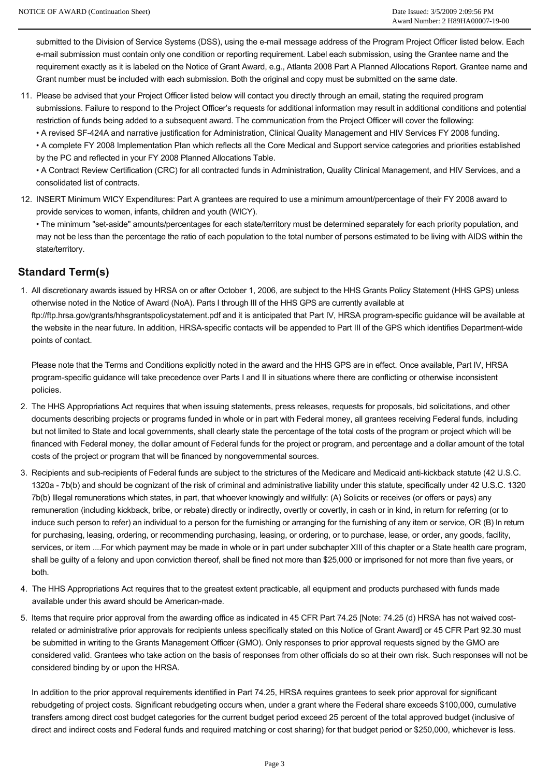submitted to the Division of Service Systems (DSS), using the e-mail message address of the Program Project Officer listed below. Each e-mail submission must contain only one condition or reporting requirement. Label each submission, using the Grantee name and the requirement exactly as it is labeled on the Notice of Grant Award, e.g., Atlanta 2008 Part A Planned Allocations Report. Grantee name and Grant number must be included with each submission. Both the original and copy must be submitted on the same date.

- 11. Please be advised that your Project Officer listed below will contact you directly through an email, stating the required program submissions. Failure to respond to the Project Officer's requests for additional information may result in additional conditions and potential restriction of funds being added to a subsequent award. The communication from the Project Officer will cover the following:
	- A revised SF-424A and narrative justification for Administration, Clinical Quality Management and HIV Services FY 2008 funding.

• A complete FY 2008 Implementation Plan which reflects all the Core Medical and Support service categories and priorities established by the PC and reflected in your FY 2008 Planned Allocations Table.

• A Contract Review Certification (CRC) for all contracted funds in Administration, Quality Clinical Management, and HIV Services, and a consolidated list of contracts.

12. INSERT Minimum WICY Expenditures: Part A grantees are required to use a minimum amount/percentage of their FY 2008 award to provide services to women, infants, children and youth (WICY).

• The minimum "set-aside" amounts/percentages for each state/territory must be determined separately for each priority population, and may not be less than the percentage the ratio of each population to the total number of persons estimated to be living with AIDS within the state/territory.

#### **Standard Term(s)**

1. All discretionary awards issued by HRSA on or after October 1, 2006, are subject to the HHS Grants Policy Statement (HHS GPS) unless otherwise noted in the Notice of Award (NoA). Parts I through III of the HHS GPS are currently available at ftp://ftp.hrsa.gov/grants/hhsgrantspolicystatement.pdf and it is anticipated that Part IV, HRSA programspecific guidance will be available at the website in the near future. In addition, HRSA-specific contacts will be appended to Part III of the GPS which identifies Department-wide points of contact.

Please note that the Terms and Conditions explicitly noted in the award and the HHS GPS are in effect. Once available, Part IV, HRSA programspecific guidance will take precedence over Parts I and II in situations where there are conflicting or otherwise inconsistent policies.

- 2. The HHS Appropriations Act requires that when issuing statements, press releases, requests for proposals, bid solicitations, and other documents describing projects or programs funded in whole or in part with Federal money, all grantees receiving Federal funds, including but not limited to State and local governments, shall clearly state the percentage of the total costs of the program or project which will be financed with Federal money, the dollar amount of Federal funds for the project or program, and percentage and a dollar amount of the total costs of the project or program that will be financed by nongovernmental sources.
- 3. Recipients and sub-recipients of Federal funds are subject to the strictures of the Medicare and Medicaid anti-kickback statute (42 U.S.C. 1320a 7b(b) and should be cognizant of the risk of criminal and administrative liability under this statute, specifically under 42 U.S.C. 1320 7b(b) Illegal remunerations which states, in part, that whoever knowingly and willfully: (A) Solicits or receives (or offers or pays) any remuneration (including kickback, bribe, or rebate) directly or indirectly, overtly or covertly, in cash or in kind, in return for referring (or to induce such person to refer) an individual to a person for the furnishing or arranging for the furnishing of any item or service, OR (B) In return for purchasing, leasing, ordering, or recommending purchasing, leasing, or ordering, or to purchase, lease, or order, any goods, facility, services, or item ....For which payment may be made in whole or in part under subchapter XIII of this chapter or a State health care program, shall be guilty of a felony and upon conviction thereof, shall be fined not more than \$25,000 or imprisoned for not more than five years, or both.
- 4. The HHS Appropriations Act requires that to the greatest extent practicable, all equipment and products purchased with funds made available under this award should be American-made.
- 5. Items that require prior approval from the awarding office as indicated in 45 CFR Part 74.25 [Note: 74.25 (d) HRSA has not waived costrelated or administrative prior approvals for recipients unless specifically stated on this Notice of Grant Award] or 45 CFR Part 92.30 must be submitted in writing to the Grants Management Officer (GMO). Only responses to prior approval requests signed by the GMO are considered valid. Grantees who take action on the basis of responses from other officials do so at their own risk. Such responses will not be considered binding by or upon the HRSA.

In addition to the prior approval requirements identified in Part 74.25, HRSA requires grantees to seek prior approval for significant rebudgeting of project costs. Significant rebudgeting occurs when, under a grant where the Federal share exceeds \$100,000, cumulative transfers among direct cost budget categories for the current budget period exceed 25 percent of the total approved budget (inclusive of direct and indirect costs and Federal funds and required matching or cost sharing) for that budget period or \$250,000, whichever is less.